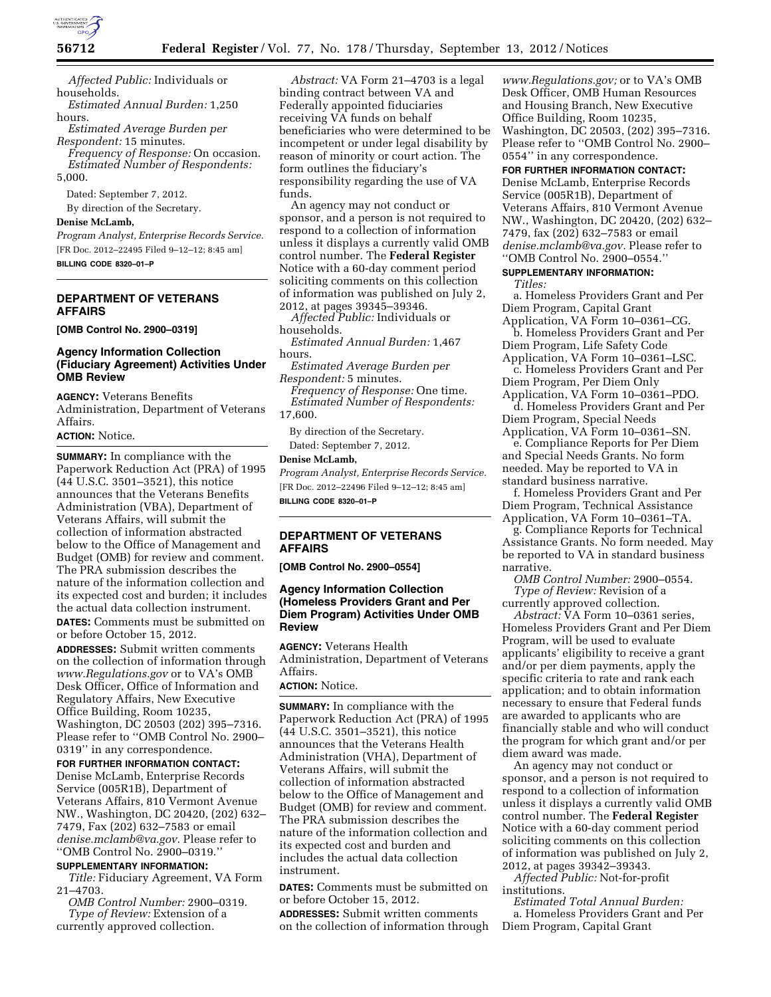

*Affected Public:* Individuals or households.

*Estimated Annual Burden:* 1,250 hours.

*Estimated Average Burden per Respondent:* 15 minutes.

*Frequency of Response:* On occasion. *Estimated Number of Respondents:*  5,000.

Dated: September 7, 2012.

By direction of the Secretary.

# **Denise McLamb,**

*Program Analyst, Enterprise Records Service.*  [FR Doc. 2012–22495 Filed 9–12–12; 8:45 am] **BILLING CODE 8320–01–P** 

# **DEPARTMENT OF VETERANS AFFAIRS**

**[OMB Control No. 2900–0319]** 

### **Agency Information Collection (Fiduciary Agreement) Activities Under OMB Review**

**AGENCY:** Veterans Benefits Administration, Department of Veterans Affairs.

# **ACTION:** Notice.

**SUMMARY:** In compliance with the Paperwork Reduction Act (PRA) of 1995 (44 U.S.C. 3501–3521), this notice announces that the Veterans Benefits Administration (VBA), Department of Veterans Affairs, will submit the collection of information abstracted below to the Office of Management and Budget (OMB) for review and comment. The PRA submission describes the nature of the information collection and its expected cost and burden; it includes the actual data collection instrument. **DATES:** Comments must be submitted on or before October 15, 2012.

**ADDRESSES:** Submit written comments on the collection of information through *[www.Regulations.gov](http://www.Regulations.gov)* or to VA's OMB Desk Officer, Office of Information and Regulatory Affairs, New Executive Office Building, Room 10235, Washington, DC 20503 (202) 395–7316. Please refer to ''OMB Control No. 2900– 0319'' in any correspondence.

#### **FOR FURTHER INFORMATION CONTACT:**

Denise McLamb, Enterprise Records Service (005R1B), Department of Veterans Affairs, 810 Vermont Avenue NW., Washington, DC 20420, (202) 632– 7479, Fax (202) 632–7583 or email *[denise.mclamb@va.gov](mailto:denise.mclamb@va.gov)*. Please refer to ''OMB Control No. 2900–0319.''

## **SUPPLEMENTARY INFORMATION:**

*Title:* Fiduciary Agreement, VA Form 21–4703.

*OMB Control Number:* 2900–0319. *Type of Review:* Extension of a currently approved collection.

*Abstract:* VA Form 21–4703 is a legal binding contract between VA and Federally appointed fiduciaries receiving VA funds on behalf beneficiaries who were determined to be incompetent or under legal disability by reason of minority or court action. The form outlines the fiduciary's responsibility regarding the use of VA funds.

An agency may not conduct or sponsor, and a person is not required to respond to a collection of information unless it displays a currently valid OMB control number. The **Federal Register**  Notice with a 60-day comment period soliciting comments on this collection of information was published on July 2, 2012, at pages 39345–39346.

*Affected Public:* Individuals or households.

*Estimated Annual Burden:* 1,467 hours.

*Estimated Average Burden per Respondent:* 5 minutes.

*Frequency of Response:* One time. *Estimated Number of Respondents:* 

17,600.

By direction of the Secretary. Dated: September 7, 2012.

#### **Denise McLamb,**

*Program Analyst, Enterprise Records Service.*  [FR Doc. 2012–22496 Filed 9–12–12; 8:45 am] **BILLING CODE 8320–01–P** 

### **DEPARTMENT OF VETERANS AFFAIRS**

**[OMB Control No. 2900–0554]** 

### **Agency Information Collection (Homeless Providers Grant and Per Diem Program) Activities Under OMB Review**

**AGENCY:** Veterans Health Administration, Department of Veterans Affairs.

# **ACTION:** Notice.

**SUMMARY:** In compliance with the Paperwork Reduction Act (PRA) of 1995 (44 U.S.C. 3501–3521), this notice announces that the Veterans Health Administration (VHA), Department of Veterans Affairs, will submit the collection of information abstracted below to the Office of Management and Budget (OMB) for review and comment. The PRA submission describes the nature of the information collection and its expected cost and burden and includes the actual data collection instrument.

**DATES:** Comments must be submitted on or before October 15, 2012.

**ADDRESSES:** Submit written comments on the collection of information through

*[www.Regulations.gov;](http://www.Regulations.gov)* or to VA's OMB Desk Officer, OMB Human Resources and Housing Branch, New Executive Office Building, Room 10235, Washington, DC 20503, (202) 395–7316. Please refer to ''OMB Control No. 2900– 0554'' in any correspondence.

**FOR FURTHER INFORMATION CONTACT:**  Denise McLamb, Enterprise Records Service (005R1B), Department of Veterans Affairs, 810 Vermont Avenue NW., Washington, DC 20420, (202) 632– 7479, fax (202) 632–7583 or email *[denise.mclamb@va.gov.](mailto:denise.mclamb@va.gov)* Please refer to ''OMB Control No. 2900–0554.''

#### **SUPPLEMENTARY INFORMATION:**  *Titles:*

a. Homeless Providers Grant and Per Diem Program, Capital Grant

Application, VA Form 10–0361–CG. b. Homeless Providers Grant and Per Diem Program, Life Safety Code Application, VA Form 10–0361–LSC.

c. Homeless Providers Grant and Per Diem Program, Per Diem Only

Application, VA Form 10–0361–PDO. d. Homeless Providers Grant and Per Diem Program, Special Needs

Application, VA Form 10–0361–SN. e. Compliance Reports for Per Diem

and Special Needs Grants. No form needed. May be reported to VA in standard business narrative.

f. Homeless Providers Grant and Per Diem Program, Technical Assistance Application, VA Form 10–0361–TA.

g. Compliance Reports for Technical Assistance Grants. No form needed. May be reported to VA in standard business narrative.

*OMB Control Number:* 2900–0554. *Type of Review:* Revision of a currently approved collection.

*Abstract:* VA Form 10–0361 series, Homeless Providers Grant and Per Diem Program, will be used to evaluate applicants' eligibility to receive a grant and/or per diem payments, apply the specific criteria to rate and rank each application; and to obtain information necessary to ensure that Federal funds are awarded to applicants who are financially stable and who will conduct the program for which grant and/or per diem award was made.

An agency may not conduct or sponsor, and a person is not required to respond to a collection of information unless it displays a currently valid OMB control number. The **Federal Register**  Notice with a 60-day comment period soliciting comments on this collection of information was published on July 2, 2012, at pages 39342–39343.

*Affected Public:* Not-for-profit institutions. *Estimated Total Annual Burden:* 

a. Homeless Providers Grant and Per Diem Program, Capital Grant